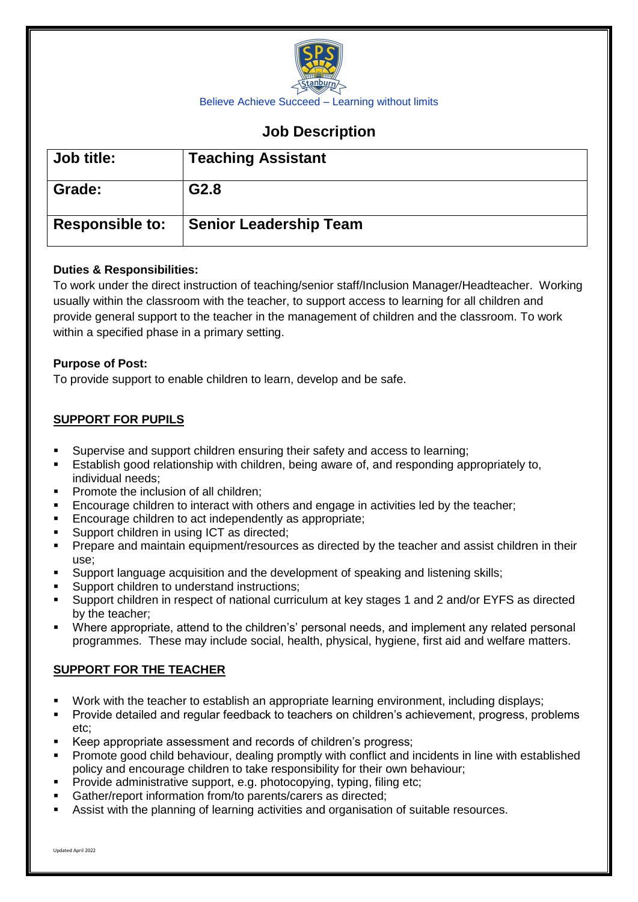

# **Job Description**

| Job title:             | <b>Teaching Assistant</b>     |
|------------------------|-------------------------------|
| Grade:                 | G <sub>2.8</sub>              |
| <b>Responsible to:</b> | <b>Senior Leadership Team</b> |

# **Duties & Responsibilities:**

To work under the direct instruction of teaching/senior staff/Inclusion Manager/Headteacher. Working usually within the classroom with the teacher, to support access to learning for all children and provide general support to the teacher in the management of children and the classroom. To work within a specified phase in a primary setting.

### **Purpose of Post:**

To provide support to enable children to learn, develop and be safe.

# **SUPPORT FOR PUPILS**

- Supervise and support children ensuring their safety and access to learning;
- Establish good relationship with children, being aware of, and responding appropriately to, individual needs;
- Promote the inclusion of all children;
- Encourage children to interact with others and engage in activities led by the teacher;
- Encourage children to act independently as appropriate;
- Support children in using ICT as directed;
- **Prepare and maintain equipment/resources as directed by the teacher and assist children in their** use;
- Support language acquisition and the development of speaking and listening skills;
- Support children to understand instructions;
- Support children in respect of national curriculum at key stages 1 and 2 and/or EYFS as directed by the teacher;
- Where appropriate, attend to the children's' personal needs, and implement any related personal programmes. These may include social, health, physical, hygiene, first aid and welfare matters.

### **SUPPORT FOR THE TEACHER**

- Work with the teacher to establish an appropriate learning environment, including displays;
- Provide detailed and regular feedback to teachers on children's achievement, progress, problems etc;
- Keep appropriate assessment and records of children's progress;
- Promote good child behaviour, dealing promptly with conflict and incidents in line with established policy and encourage children to take responsibility for their own behaviour;
- Provide administrative support, e.g. photocopying, typing, filing etc;
- Gather/report information from/to parents/carers as directed;
- Assist with the planning of learning activities and organisation of suitable resources.

Updated April 2022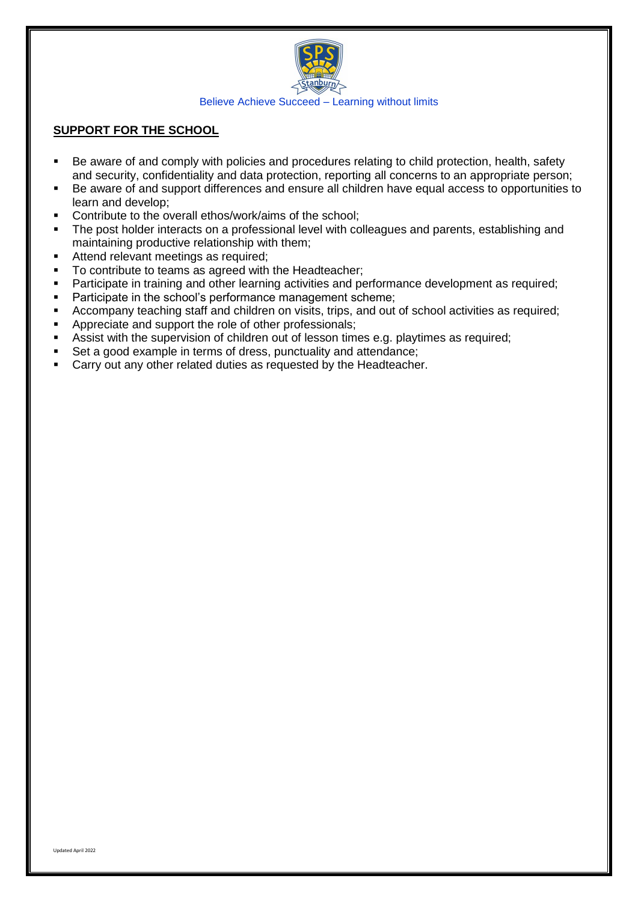

### **SUPPORT FOR THE SCHOOL**

- Be aware of and comply with policies and procedures relating to child protection, health, safety and security, confidentiality and data protection, reporting all concerns to an appropriate person;
- Be aware of and support differences and ensure all children have equal access to opportunities to learn and develop;
- **Contribute to the overall ethos/work/aims of the school;**
- The post holder interacts on a professional level with colleagues and parents, establishing and maintaining productive relationship with them;
- Attend relevant meetings as required;
- To contribute to teams as agreed with the Headteacher;
- **Participate in training and other learning activities and performance development as required;**
- **Participate in the school's performance management scheme:**
- **EXECOMPANY teaching staff and children on visits, trips, and out of school activities as required;**
- Appreciate and support the role of other professionals;
- Assist with the supervision of children out of lesson times e.g. playtimes as required;
- Set a good example in terms of dress, punctuality and attendance;
- Carry out any other related duties as requested by the Headteacher.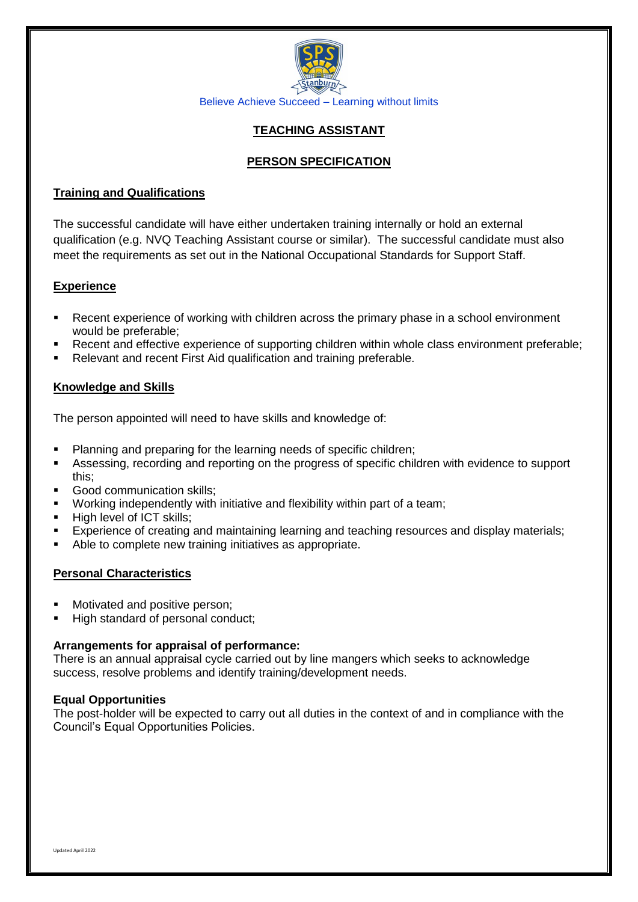

# **TEACHING ASSISTANT**

# **PERSON SPECIFICATION**

## **Training and Qualifications**

The successful candidate will have either undertaken training internally or hold an external qualification (e.g. NVQ Teaching Assistant course or similar). The successful candidate must also meet the requirements as set out in the National Occupational Standards for Support Staff.

# **Experience**

- Recent experience of working with children across the primary phase in a school environment would be preferable;
- Recent and effective experience of supporting children within whole class environment preferable;
- Relevant and recent First Aid qualification and training preferable.

# **Knowledge and Skills**

The person appointed will need to have skills and knowledge of:

- Planning and preparing for the learning needs of specific children;
- Assessing, recording and reporting on the progress of specific children with evidence to support this;
- Good communication skills;
- Working independently with initiative and flexibility within part of a team;
- High level of ICT skills;
- Experience of creating and maintaining learning and teaching resources and display materials;
- Able to complete new training initiatives as appropriate.

# **Personal Characteristics**

- Motivated and positive person;
- High standard of personal conduct;

### **Arrangements for appraisal of performance:**

There is an annual appraisal cycle carried out by line mangers which seeks to acknowledge success, resolve problems and identify training/development needs.

### **Equal Opportunities**

The post-holder will be expected to carry out all duties in the context of and in compliance with the Council's Equal Opportunities Policies.